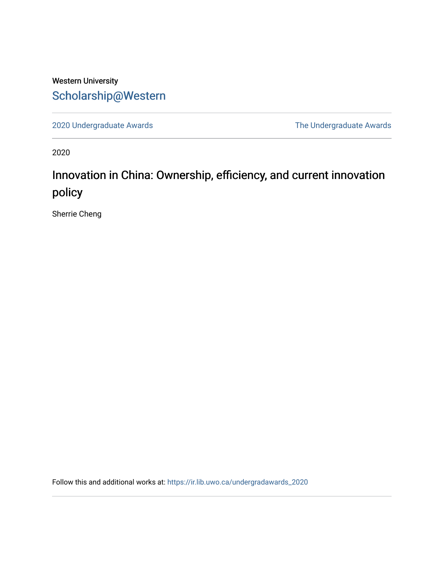# Western University [Scholarship@Western](https://ir.lib.uwo.ca/)

[2020 Undergraduate Awards](https://ir.lib.uwo.ca/undergradawards_2020) [The Undergraduate Awards](https://ir.lib.uwo.ca/ungradawards) 

2020

# Innovation in China: Ownership, efficiency, and current innovation policy

Sherrie Cheng

Follow this and additional works at: [https://ir.lib.uwo.ca/undergradawards\\_2020](https://ir.lib.uwo.ca/undergradawards_2020?utm_source=ir.lib.uwo.ca%2Fundergradawards_2020%2F13&utm_medium=PDF&utm_campaign=PDFCoverPages)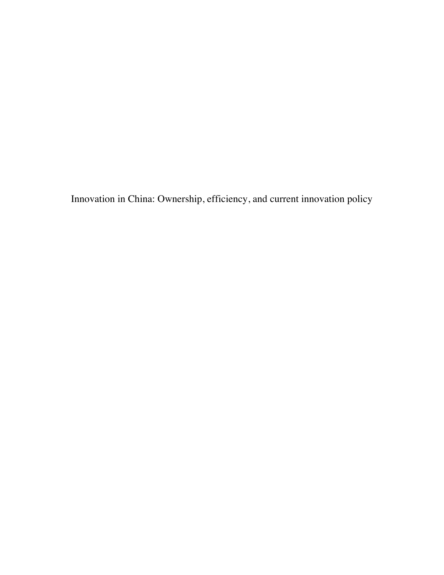Innovation in China: Ownership, efficiency, and current innovation policy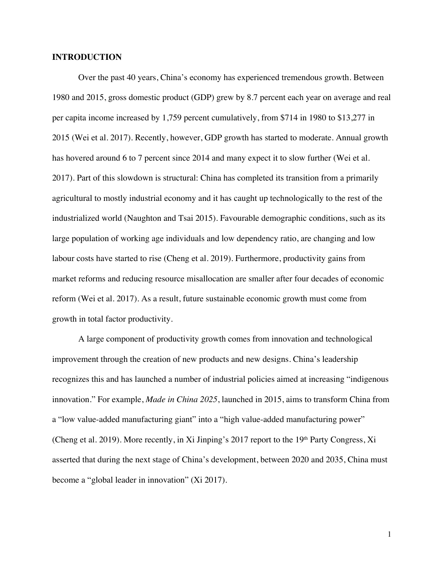#### **INTRODUCTION**

Over the past 40 years, China's economy has experienced tremendous growth. Between 1980 and 2015, gross domestic product (GDP) grew by 8.7 percent each year on average and real per capita income increased by 1,759 percent cumulatively, from \$714 in 1980 to \$13,277 in 2015 (Wei et al. 2017). Recently, however, GDP growth has started to moderate. Annual growth has hovered around 6 to 7 percent since 2014 and many expect it to slow further (Wei et al. 2017). Part of this slowdown is structural: China has completed its transition from a primarily agricultural to mostly industrial economy and it has caught up technologically to the rest of the industrialized world (Naughton and Tsai 2015). Favourable demographic conditions, such as its large population of working age individuals and low dependency ratio, are changing and low labour costs have started to rise (Cheng et al. 2019). Furthermore, productivity gains from market reforms and reducing resource misallocation are smaller after four decades of economic reform (Wei et al. 2017). As a result, future sustainable economic growth must come from growth in total factor productivity.

A large component of productivity growth comes from innovation and technological improvement through the creation of new products and new designs. China's leadership recognizes this and has launched a number of industrial policies aimed at increasing "indigenous innovation." For example, *Made in China 2025*, launched in 2015, aims to transform China from a "low value-added manufacturing giant" into a "high value-added manufacturing power" (Cheng et al. 2019). More recently, in Xi Jinping's 2017 report to the 19<sup>th</sup> Party Congress, Xi asserted that during the next stage of China's development, between 2020 and 2035, China must become a "global leader in innovation" (Xi 2017).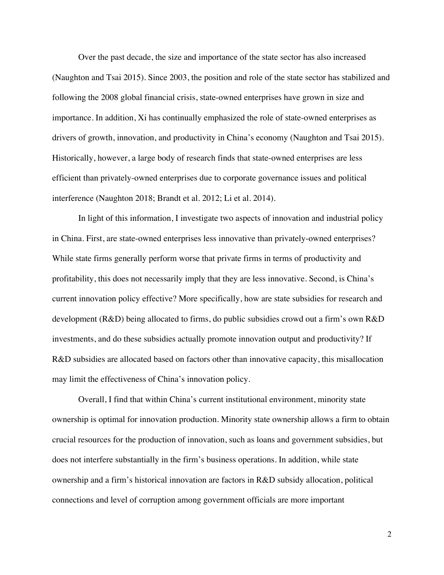Over the past decade, the size and importance of the state sector has also increased (Naughton and Tsai 2015). Since 2003, the position and role of the state sector has stabilized and following the 2008 global financial crisis, state-owned enterprises have grown in size and importance. In addition, Xi has continually emphasized the role of state-owned enterprises as drivers of growth, innovation, and productivity in China's economy (Naughton and Tsai 2015). Historically, however, a large body of research finds that state-owned enterprises are less efficient than privately-owned enterprises due to corporate governance issues and political interference (Naughton 2018; Brandt et al. 2012; Li et al. 2014).

In light of this information, I investigate two aspects of innovation and industrial policy in China. First, are state-owned enterprises less innovative than privately-owned enterprises? While state firms generally perform worse that private firms in terms of productivity and profitability, this does not necessarily imply that they are less innovative. Second, is China's current innovation policy effective? More specifically, how are state subsidies for research and development (R&D) being allocated to firms, do public subsidies crowd out a firm's own R&D investments, and do these subsidies actually promote innovation output and productivity? If R&D subsidies are allocated based on factors other than innovative capacity, this misallocation may limit the effectiveness of China's innovation policy.

Overall, I find that within China's current institutional environment, minority state ownership is optimal for innovation production. Minority state ownership allows a firm to obtain crucial resources for the production of innovation, such as loans and government subsidies, but does not interfere substantially in the firm's business operations. In addition, while state ownership and a firm's historical innovation are factors in R&D subsidy allocation, political connections and level of corruption among government officials are more important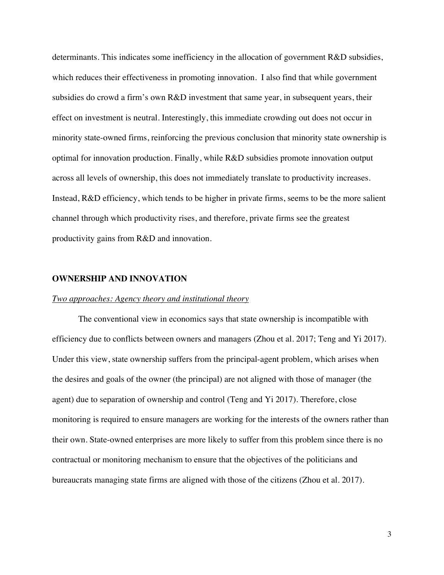determinants. This indicates some inefficiency in the allocation of government R&D subsidies, which reduces their effectiveness in promoting innovation. I also find that while government subsidies do crowd a firm's own R&D investment that same year, in subsequent years, their effect on investment is neutral. Interestingly, this immediate crowding out does not occur in minority state-owned firms, reinforcing the previous conclusion that minority state ownership is optimal for innovation production. Finally, while R&D subsidies promote innovation output across all levels of ownership, this does not immediately translate to productivity increases. Instead, R&D efficiency, which tends to be higher in private firms, seems to be the more salient channel through which productivity rises, and therefore, private firms see the greatest productivity gains from R&D and innovation.

#### **OWNERSHIP AND INNOVATION**

#### *Two approaches: Agency theory and institutional theory*

The conventional view in economics says that state ownership is incompatible with efficiency due to conflicts between owners and managers (Zhou et al. 2017; Teng and Yi 2017). Under this view, state ownership suffers from the principal-agent problem, which arises when the desires and goals of the owner (the principal) are not aligned with those of manager (the agent) due to separation of ownership and control (Teng and Yi 2017). Therefore, close monitoring is required to ensure managers are working for the interests of the owners rather than their own. State-owned enterprises are more likely to suffer from this problem since there is no contractual or monitoring mechanism to ensure that the objectives of the politicians and bureaucrats managing state firms are aligned with those of the citizens (Zhou et al. 2017).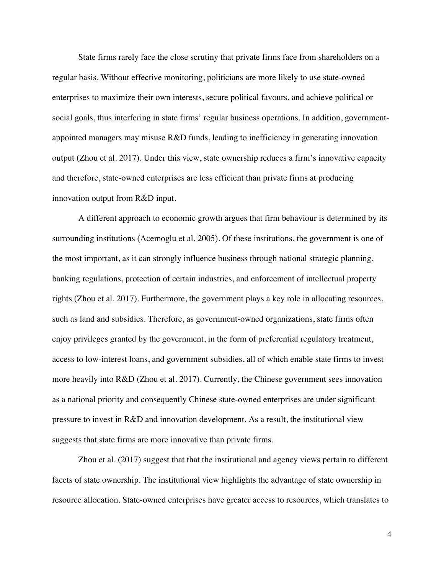State firms rarely face the close scrutiny that private firms face from shareholders on a regular basis. Without effective monitoring, politicians are more likely to use state-owned enterprises to maximize their own interests, secure political favours, and achieve political or social goals, thus interfering in state firms' regular business operations. In addition, governmentappointed managers may misuse R&D funds, leading to inefficiency in generating innovation output (Zhou et al. 2017). Under this view, state ownership reduces a firm's innovative capacity and therefore, state-owned enterprises are less efficient than private firms at producing innovation output from R&D input.

A different approach to economic growth argues that firm behaviour is determined by its surrounding institutions (Acemoglu et al. 2005). Of these institutions, the government is one of the most important, as it can strongly influence business through national strategic planning, banking regulations, protection of certain industries, and enforcement of intellectual property rights (Zhou et al. 2017). Furthermore, the government plays a key role in allocating resources, such as land and subsidies. Therefore, as government-owned organizations, state firms often enjoy privileges granted by the government, in the form of preferential regulatory treatment, access to low-interest loans, and government subsidies, all of which enable state firms to invest more heavily into R&D (Zhou et al. 2017). Currently, the Chinese government sees innovation as a national priority and consequently Chinese state-owned enterprises are under significant pressure to invest in R&D and innovation development. As a result, the institutional view suggests that state firms are more innovative than private firms.

Zhou et al. (2017) suggest that that the institutional and agency views pertain to different facets of state ownership. The institutional view highlights the advantage of state ownership in resource allocation. State-owned enterprises have greater access to resources, which translates to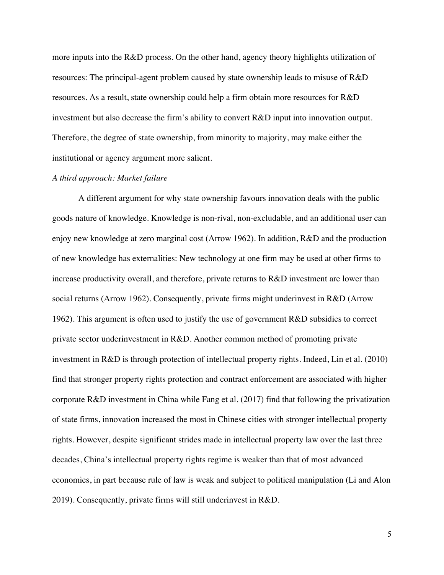more inputs into the R&D process. On the other hand, agency theory highlights utilization of resources: The principal-agent problem caused by state ownership leads to misuse of R&D resources. As a result, state ownership could help a firm obtain more resources for R&D investment but also decrease the firm's ability to convert R&D input into innovation output. Therefore, the degree of state ownership, from minority to majority, may make either the institutional or agency argument more salient.

#### *A third approach: Market failure*

A different argument for why state ownership favours innovation deals with the public goods nature of knowledge. Knowledge is non-rival, non-excludable, and an additional user can enjoy new knowledge at zero marginal cost (Arrow 1962). In addition, R&D and the production of new knowledge has externalities: New technology at one firm may be used at other firms to increase productivity overall, and therefore, private returns to R&D investment are lower than social returns (Arrow 1962). Consequently, private firms might underinvest in R&D (Arrow 1962). This argument is often used to justify the use of government R&D subsidies to correct private sector underinvestment in R&D. Another common method of promoting private investment in R&D is through protection of intellectual property rights. Indeed, Lin et al. (2010) find that stronger property rights protection and contract enforcement are associated with higher corporate R&D investment in China while Fang et al. (2017) find that following the privatization of state firms, innovation increased the most in Chinese cities with stronger intellectual property rights. However, despite significant strides made in intellectual property law over the last three decades, China's intellectual property rights regime is weaker than that of most advanced economies, in part because rule of law is weak and subject to political manipulation (Li and Alon 2019). Consequently, private firms will still underinvest in R&D.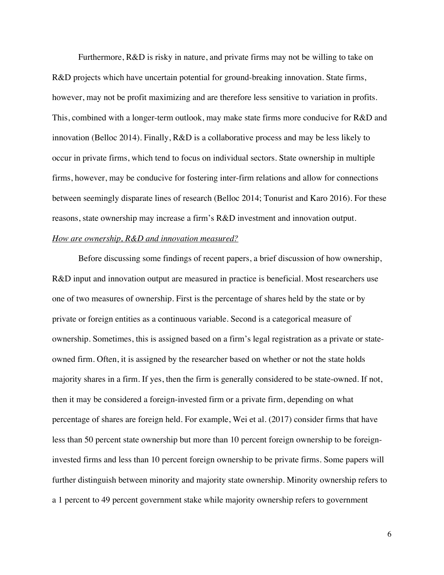Furthermore, R&D is risky in nature, and private firms may not be willing to take on R&D projects which have uncertain potential for ground-breaking innovation. State firms, however, may not be profit maximizing and are therefore less sensitive to variation in profits. This, combined with a longer-term outlook, may make state firms more conducive for R&D and innovation (Belloc 2014). Finally, R&D is a collaborative process and may be less likely to occur in private firms, which tend to focus on individual sectors. State ownership in multiple firms, however, may be conducive for fostering inter-firm relations and allow for connections between seemingly disparate lines of research (Belloc 2014; Tonurist and Karo 2016). For these reasons, state ownership may increase a firm's R&D investment and innovation output.

#### *How are ownership, R&D and innovation measured?*

Before discussing some findings of recent papers, a brief discussion of how ownership, R&D input and innovation output are measured in practice is beneficial. Most researchers use one of two measures of ownership. First is the percentage of shares held by the state or by private or foreign entities as a continuous variable. Second is a categorical measure of ownership. Sometimes, this is assigned based on a firm's legal registration as a private or stateowned firm. Often, it is assigned by the researcher based on whether or not the state holds majority shares in a firm. If yes, then the firm is generally considered to be state-owned. If not, then it may be considered a foreign-invested firm or a private firm, depending on what percentage of shares are foreign held. For example, Wei et al. (2017) consider firms that have less than 50 percent state ownership but more than 10 percent foreign ownership to be foreigninvested firms and less than 10 percent foreign ownership to be private firms. Some papers will further distinguish between minority and majority state ownership. Minority ownership refers to a 1 percent to 49 percent government stake while majority ownership refers to government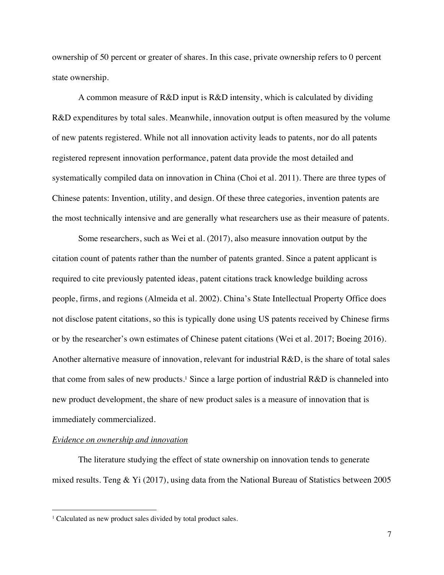ownership of 50 percent or greater of shares. In this case, private ownership refers to 0 percent state ownership.

A common measure of R&D input is R&D intensity, which is calculated by dividing R&D expenditures by total sales. Meanwhile, innovation output is often measured by the volume of new patents registered. While not all innovation activity leads to patents, nor do all patents registered represent innovation performance, patent data provide the most detailed and systematically compiled data on innovation in China (Choi et al. 2011). There are three types of Chinese patents: Invention, utility, and design. Of these three categories, invention patents are the most technically intensive and are generally what researchers use as their measure of patents.

Some researchers, such as Wei et al. (2017), also measure innovation output by the citation count of patents rather than the number of patents granted. Since a patent applicant is required to cite previously patented ideas, patent citations track knowledge building across people, firms, and regions (Almeida et al. 2002). China's State Intellectual Property Office does not disclose patent citations, so this is typically done using US patents received by Chinese firms or by the researcher's own estimates of Chinese patent citations (Wei et al. 2017; Boeing 2016). Another alternative measure of innovation, relevant for industrial R&D, is the share of total sales that come from sales of new products.<sup>1</sup> Since a large portion of industrial  $R&D$  is channeled into new product development, the share of new product sales is a measure of innovation that is immediately commercialized.

### *Evidence on ownership and innovation*

The literature studying the effect of state ownership on innovation tends to generate mixed results. Teng & Yi (2017), using data from the National Bureau of Statistics between 2005

<sup>&</sup>lt;sup>1</sup> Calculated as new product sales divided by total product sales.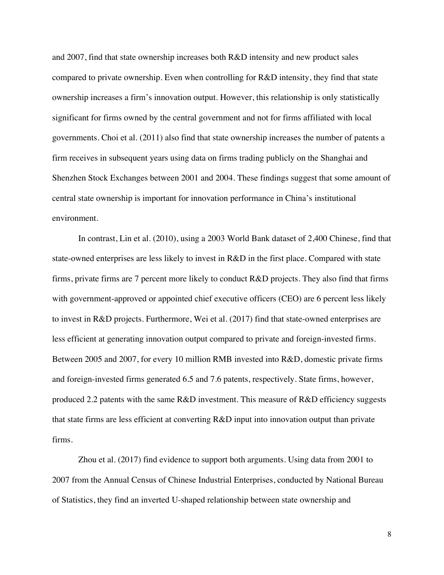and 2007, find that state ownership increases both R&D intensity and new product sales compared to private ownership. Even when controlling for R&D intensity, they find that state ownership increases a firm's innovation output. However, this relationship is only statistically significant for firms owned by the central government and not for firms affiliated with local governments. Choi et al. (2011) also find that state ownership increases the number of patents a firm receives in subsequent years using data on firms trading publicly on the Shanghai and Shenzhen Stock Exchanges between 2001 and 2004. These findings suggest that some amount of central state ownership is important for innovation performance in China's institutional environment.

In contrast, Lin et al. (2010), using a 2003 World Bank dataset of 2,400 Chinese, find that state-owned enterprises are less likely to invest in R&D in the first place. Compared with state firms, private firms are 7 percent more likely to conduct R&D projects. They also find that firms with government-approved or appointed chief executive officers (CEO) are 6 percent less likely to invest in R&D projects. Furthermore, Wei et al. (2017) find that state-owned enterprises are less efficient at generating innovation output compared to private and foreign-invested firms. Between 2005 and 2007, for every 10 million RMB invested into R&D, domestic private firms and foreign-invested firms generated 6.5 and 7.6 patents, respectively. State firms, however, produced 2.2 patents with the same R&D investment. This measure of R&D efficiency suggests that state firms are less efficient at converting R&D input into innovation output than private firms.

Zhou et al. (2017) find evidence to support both arguments. Using data from 2001 to 2007 from the Annual Census of Chinese Industrial Enterprises, conducted by National Bureau of Statistics, they find an inverted U-shaped relationship between state ownership and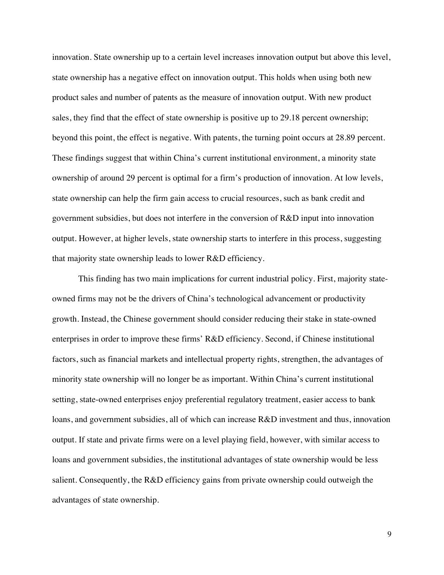innovation. State ownership up to a certain level increases innovation output but above this level, state ownership has a negative effect on innovation output. This holds when using both new product sales and number of patents as the measure of innovation output. With new product sales, they find that the effect of state ownership is positive up to 29.18 percent ownership; beyond this point, the effect is negative. With patents, the turning point occurs at 28.89 percent. These findings suggest that within China's current institutional environment, a minority state ownership of around 29 percent is optimal for a firm's production of innovation. At low levels, state ownership can help the firm gain access to crucial resources, such as bank credit and government subsidies, but does not interfere in the conversion of R&D input into innovation output. However, at higher levels, state ownership starts to interfere in this process, suggesting that majority state ownership leads to lower R&D efficiency.

This finding has two main implications for current industrial policy. First, majority stateowned firms may not be the drivers of China's technological advancement or productivity growth. Instead, the Chinese government should consider reducing their stake in state-owned enterprises in order to improve these firms' R&D efficiency. Second, if Chinese institutional factors, such as financial markets and intellectual property rights, strengthen, the advantages of minority state ownership will no longer be as important. Within China's current institutional setting, state-owned enterprises enjoy preferential regulatory treatment, easier access to bank loans, and government subsidies, all of which can increase R&D investment and thus, innovation output. If state and private firms were on a level playing field, however, with similar access to loans and government subsidies, the institutional advantages of state ownership would be less salient. Consequently, the R&D efficiency gains from private ownership could outweigh the advantages of state ownership.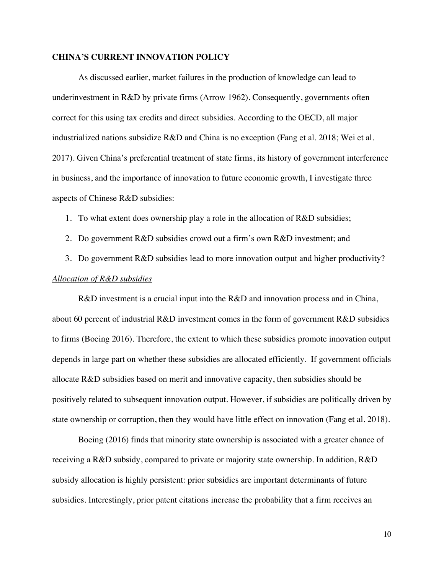### **CHINA'S CURRENT INNOVATION POLICY**

As discussed earlier, market failures in the production of knowledge can lead to underinvestment in R&D by private firms (Arrow 1962). Consequently, governments often correct for this using tax credits and direct subsidies. According to the OECD, all major industrialized nations subsidize R&D and China is no exception (Fang et al. 2018; Wei et al. 2017). Given China's preferential treatment of state firms, its history of government interference in business, and the importance of innovation to future economic growth, I investigate three aspects of Chinese R&D subsidies:

1. To what extent does ownership play a role in the allocation of R&D subsidies;

2. Do government R&D subsidies crowd out a firm's own R&D investment; and

3. Do government R&D subsidies lead to more innovation output and higher productivity? *Allocation of R&D subsidies* 

R&D investment is a crucial input into the R&D and innovation process and in China, about 60 percent of industrial R&D investment comes in the form of government R&D subsidies to firms (Boeing 2016). Therefore, the extent to which these subsidies promote innovation output depends in large part on whether these subsidies are allocated efficiently. If government officials allocate R&D subsidies based on merit and innovative capacity, then subsidies should be positively related to subsequent innovation output. However, if subsidies are politically driven by state ownership or corruption, then they would have little effect on innovation (Fang et al. 2018).

Boeing (2016) finds that minority state ownership is associated with a greater chance of receiving a R&D subsidy, compared to private or majority state ownership. In addition, R&D subsidy allocation is highly persistent: prior subsidies are important determinants of future subsidies. Interestingly, prior patent citations increase the probability that a firm receives an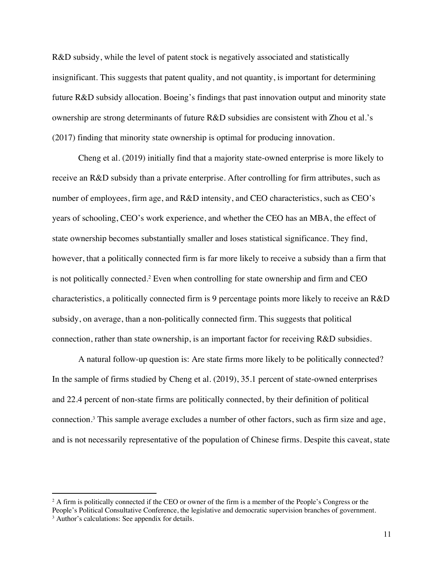R&D subsidy, while the level of patent stock is negatively associated and statistically insignificant. This suggests that patent quality, and not quantity, is important for determining future R&D subsidy allocation. Boeing's findings that past innovation output and minority state ownership are strong determinants of future R&D subsidies are consistent with Zhou et al.'s (2017) finding that minority state ownership is optimal for producing innovation.

Cheng et al. (2019) initially find that a majority state-owned enterprise is more likely to receive an R&D subsidy than a private enterprise. After controlling for firm attributes, such as number of employees, firm age, and R&D intensity, and CEO characteristics, such as CEO's years of schooling, CEO's work experience, and whether the CEO has an MBA, the effect of state ownership becomes substantially smaller and loses statistical significance. They find, however, that a politically connected firm is far more likely to receive a subsidy than a firm that is not politically connected.2 Even when controlling for state ownership and firm and CEO characteristics, a politically connected firm is 9 percentage points more likely to receive an R&D subsidy, on average, than a non-politically connected firm. This suggests that political connection, rather than state ownership, is an important factor for receiving R&D subsidies.

A natural follow-up question is: Are state firms more likely to be politically connected? In the sample of firms studied by Cheng et al. (2019), 35.1 percent of state-owned enterprises and 22.4 percent of non-state firms are politically connected, by their definition of political connection.3 This sample average excludes a number of other factors, such as firm size and age, and is not necessarily representative of the population of Chinese firms. Despite this caveat, state

<sup>&</sup>lt;sup>2</sup> A firm is politically connected if the CEO or owner of the firm is a member of the People's Congress or the People's Political Consultative Conference, the legislative and democratic supervision branches of government. <sup>3</sup> Author's calculations: See appendix for details.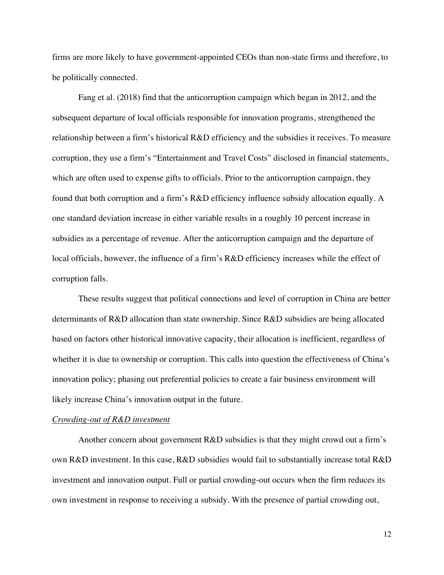firms are more likely to have government-appointed CEOs than non-state firms and therefore, to be politically connected.

Fang et al. (2018) find that the anticorruption campaign which began in 2012, and the subsequent departure of local officials responsible for innovation programs, strengthened the relationship between a firm's historical R&D efficiency and the subsidies it receives. To measure corruption, they use a firm's "Entertainment and Travel Costs" disclosed in financial statements, which are often used to expense gifts to officials. Prior to the anticorruption campaign, they found that both corruption and a firm's R&D efficiency influence subsidy allocation equally. A one standard deviation increase in either variable results in a roughly 10 percent increase in subsidies as a percentage of revenue. After the anticorruption campaign and the departure of local officials, however, the influence of a firm's R&D efficiency increases while the effect of corruption falls.

These results suggest that political connections and level of corruption in China are better determinants of R&D allocation than state ownership. Since R&D subsidies are being allocated based on factors other historical innovative capacity, their allocation is inefficient, regardless of whether it is due to ownership or corruption. This calls into question the effectiveness of China's innovation policy; phasing out preferential policies to create a fair business environment will likely increase China's innovation output in the future.

#### *Crowding-out of R&D investment*

Another concern about government R&D subsidies is that they might crowd out a firm's own R&D investment. In this case, R&D subsidies would fail to substantially increase total R&D investment and innovation output. Full or partial crowding-out occurs when the firm reduces its own investment in response to receiving a subsidy. With the presence of partial crowding out,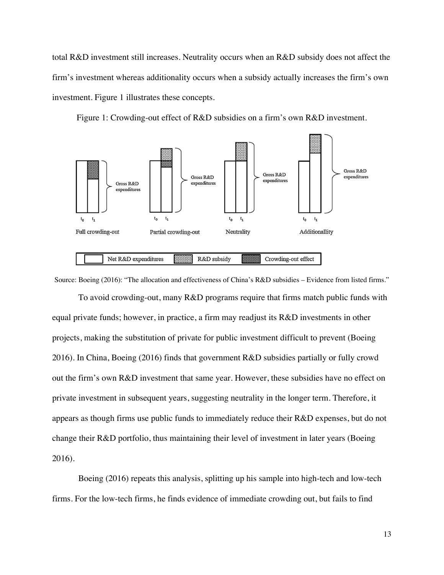total R&D investment still increases. Neutrality occurs when an R&D subsidy does not affect the firm's investment whereas additionality occurs when a subsidy actually increases the firm's own investment. Figure 1 illustrates these concepts.

Figure 1: Crowding-out effect of R&D subsidies on a firm's own R&D investment.



Source: Boeing (2016): "The allocation and effectiveness of China's R&D subsidies – Evidence from listed firms."

To avoid crowding-out, many R&D programs require that firms match public funds with equal private funds; however, in practice, a firm may readjust its R&D investments in other projects, making the substitution of private for public investment difficult to prevent (Boeing 2016). In China, Boeing (2016) finds that government R&D subsidies partially or fully crowd out the firm's own R&D investment that same year. However, these subsidies have no effect on private investment in subsequent years, suggesting neutrality in the longer term. Therefore, it appears as though firms use public funds to immediately reduce their R&D expenses, but do not change their R&D portfolio, thus maintaining their level of investment in later years (Boeing 2016).

Boeing (2016) repeats this analysis, splitting up his sample into high-tech and low-tech firms. For the low-tech firms, he finds evidence of immediate crowding out, but fails to find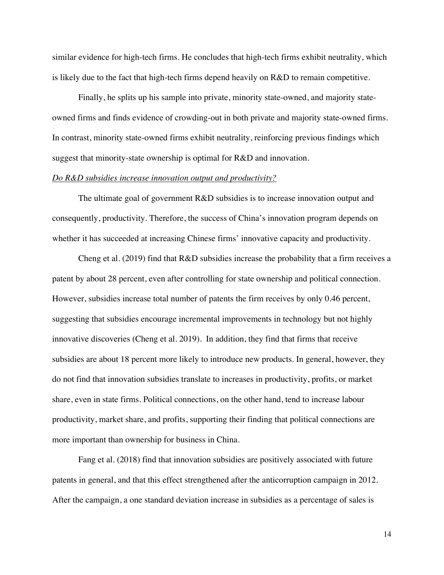similar evidence for high-tech firms. He concludes that high-tech firms exhibit neutrality, which is likely due to the fact that high-tech firms depend heavily on R&D to remain competitive.

Finally, he splits up his sample into private, minority state-owned, and majority stateowned firms and finds evidence of crowding-out in both private and majority state-owned firms. In contrast, minority state-owned firms exhibit neutrality, reinforcing previous findings which suggest that minority-state ownership is optimal for R&D and innovation.

#### *Do R&D subsidies increase innovation output and productivity?*

The ultimate goal of government R&D subsidies is to increase innovation output and consequently, productivity. Therefore, the success of China's innovation program depends on whether it has succeeded at increasing Chinese firms' innovative capacity and productivity.

Cheng et al. (2019) find that R&D subsidies increase the probability that a firm receives a patent by about 28 percent, even after controlling for state ownership and political connection. However, subsidies increase total number of patents the firm receives by only 0.46 percent, suggesting that subsidies encourage incremental improvements in technology but not highly innovative discoveries (Cheng et al. 2019). In addition, they find that firms that receive subsidies are about 18 percent more likely to introduce new products. In general, however, they do not find that innovation subsidies translate to increases in productivity, profits, or market share, even in state firms. Political connections, on the other hand, tend to increase labour productivity, market share, and profits, supporting their finding that political connections are more important than ownership for business in China.

Fang et al. (2018) find that innovation subsidies are positively associated with future patents in general, and that this effect strengthened after the anticorruption campaign in 2012. After the campaign, a one standard deviation increase in subsidies as a percentage of sales is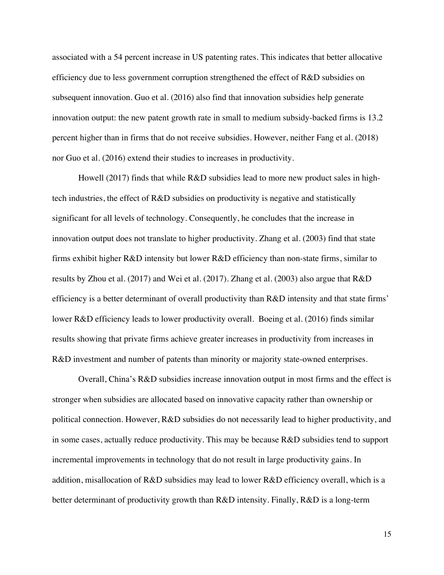associated with a 54 percent increase in US patenting rates. This indicates that better allocative efficiency due to less government corruption strengthened the effect of R&D subsidies on subsequent innovation. Guo et al. (2016) also find that innovation subsidies help generate innovation output: the new patent growth rate in small to medium subsidy-backed firms is 13.2 percent higher than in firms that do not receive subsidies. However, neither Fang et al. (2018) nor Guo et al. (2016) extend their studies to increases in productivity.

Howell (2017) finds that while R&D subsidies lead to more new product sales in hightech industries, the effect of R&D subsidies on productivity is negative and statistically significant for all levels of technology. Consequently, he concludes that the increase in innovation output does not translate to higher productivity. Zhang et al. (2003) find that state firms exhibit higher R&D intensity but lower R&D efficiency than non-state firms, similar to results by Zhou et al. (2017) and Wei et al. (2017). Zhang et al. (2003) also argue that R&D efficiency is a better determinant of overall productivity than R&D intensity and that state firms' lower R&D efficiency leads to lower productivity overall. Boeing et al. (2016) finds similar results showing that private firms achieve greater increases in productivity from increases in R&D investment and number of patents than minority or majority state-owned enterprises.

Overall, China's R&D subsidies increase innovation output in most firms and the effect is stronger when subsidies are allocated based on innovative capacity rather than ownership or political connection. However, R&D subsidies do not necessarily lead to higher productivity, and in some cases, actually reduce productivity. This may be because R&D subsidies tend to support incremental improvements in technology that do not result in large productivity gains. In addition, misallocation of R&D subsidies may lead to lower R&D efficiency overall, which is a better determinant of productivity growth than R&D intensity. Finally, R&D is a long-term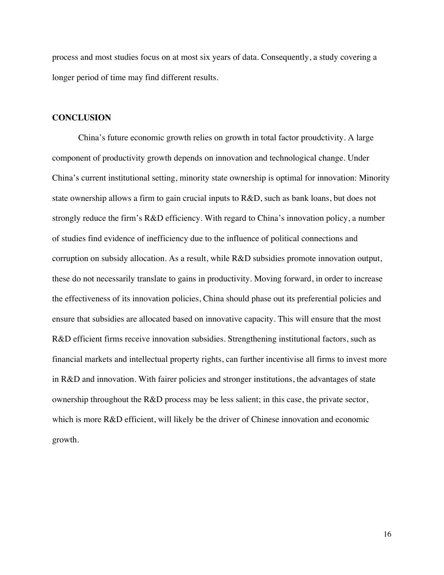process and most studies focus on at most six years of data. Consequently, a study covering a longer period of time may find different results.

#### **CONCLUSION**

China's future economic growth relies on growth in total factor proudctivity. A large component of productivity growth depends on innovation and technological change. Under China's current institutional setting, minority state ownership is optimal for innovation: Minority state ownership allows a firm to gain crucial inputs to R&D, such as bank loans, but does not strongly reduce the firm's R&D efficiency. With regard to China's innovation policy, a number of studies find evidence of inefficiency due to the influence of political connections and corruption on subsidy allocation. As a result, while R&D subsidies promote innovation output, these do not necessarily translate to gains in productivity. Moving forward, in order to increase the effectiveness of its innovation policies, China should phase out its preferential policies and ensure that subsidies are allocated based on innovative capacity. This will ensure that the most R&D efficient firms receive innovation subsidies. Strengthening institutional factors, such as financial markets and intellectual property rights, can further incentivise all firms to invest more in R&D and innovation. With fairer policies and stronger institutions, the advantages of state ownership throughout the R&D process may be less salient; in this case, the private sector, which is more R&D efficient, will likely be the driver of Chinese innovation and economic growth.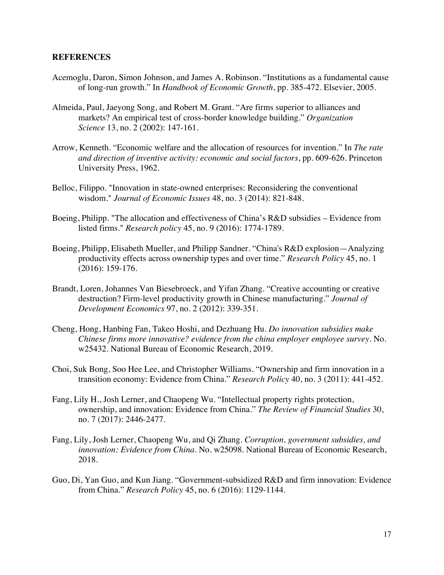#### **REFERENCES**

- Acemoglu, Daron, Simon Johnson, and James A. Robinson. "Institutions as a fundamental cause of long-run growth." In *Handbook of Economic Growth*, pp. 385-472. Elsevier, 2005.
- Almeida, Paul, Jaeyong Song, and Robert M. Grant. "Are firms superior to alliances and markets? An empirical test of cross-border knowledge building." *Organization Science* 13, no. 2 (2002): 147-161.
- Arrow, Kenneth. "Economic welfare and the allocation of resources for invention." In *The rate and direction of inventive activity: economic and social factors*, pp. 609-626. Princeton University Press, 1962.
- Belloc, Filippo. "Innovation in state-owned enterprises: Reconsidering the conventional wisdom." *Journal of Economic Issues* 48, no. 3 (2014): 821-848.
- Boeing, Philipp. "The allocation and effectiveness of China's R&D subsidies Evidence from listed firms." *Research policy* 45, no. 9 (2016): 1774-1789.
- Boeing, Philipp, Elisabeth Mueller, and Philipp Sandner. "China's R&D explosion—Analyzing productivity effects across ownership types and over time." *Research Policy* 45, no. 1 (2016): 159-176.
- Brandt, Loren, Johannes Van Biesebroeck, and Yifan Zhang. "Creative accounting or creative destruction? Firm-level productivity growth in Chinese manufacturing." *Journal of Development Economics* 97, no. 2 (2012): 339-351.
- Cheng, Hong, Hanbing Fan, Takeo Hoshi, and Dezhuang Hu. *Do innovation subsidies make Chinese firms more innovative? evidence from the china employer employee survey*. No. w25432. National Bureau of Economic Research, 2019.
- Choi, Suk Bong, Soo Hee Lee, and Christopher Williams. "Ownership and firm innovation in a transition economy: Evidence from China." *Research Policy* 40, no. 3 (2011): 441-452.
- Fang, Lily H., Josh Lerner, and Chaopeng Wu. "Intellectual property rights protection, ownership, and innovation: Evidence from China." *The Review of Financial Studies* 30, no. 7 (2017): 2446-2477.
- Fang, Lily, Josh Lerner, Chaopeng Wu, and Qi Zhang. *Corruption, government subsidies, and innovation: Evidence from China*. No. w25098. National Bureau of Economic Research, 2018.
- Guo, Di, Yan Guo, and Kun Jiang. "Government-subsidized R&D and firm innovation: Evidence from China." *Research Policy* 45, no. 6 (2016): 1129-1144.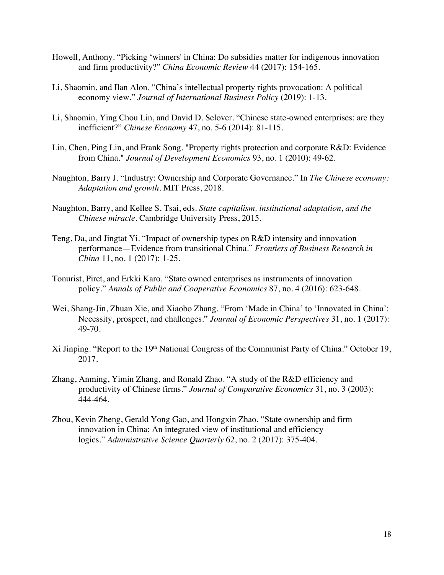- Howell, Anthony. "Picking 'winners' in China: Do subsidies matter for indigenous innovation and firm productivity?" *China Economic Review* 44 (2017): 154-165.
- Li, Shaomin, and Ilan Alon. "China's intellectual property rights provocation: A political economy view." *Journal of International Business Policy* (2019): 1-13.
- Li, Shaomin, Ying Chou Lin, and David D. Selover. "Chinese state-owned enterprises: are they inefficient?" *Chinese Economy* 47, no. 5-6 (2014): 81-115.
- Lin, Chen, Ping Lin, and Frank Song. "Property rights protection and corporate R&D: Evidence from China." *Journal of Development Economics* 93, no. 1 (2010): 49-62.
- Naughton, Barry J. "Industry: Ownership and Corporate Governance." In *The Chinese economy: Adaptation and growth*. MIT Press, 2018.
- Naughton, Barry, and Kellee S. Tsai, eds. *State capitalism, institutional adaptation, and the Chinese miracle*. Cambridge University Press, 2015.
- Teng, Da, and Jingtat Yi. "Impact of ownership types on R&D intensity and innovation performance—Evidence from transitional China." *Frontiers of Business Research in China* 11, no. 1 (2017): 1-25.
- Tonurist, Piret, and Erkki Karo. "State owned enterprises as instruments of innovation policy." *Annals of Public and Cooperative Economics* 87, no. 4 (2016): 623-648.
- Wei, Shang-Jin, Zhuan Xie, and Xiaobo Zhang. "From 'Made in China' to 'Innovated in China': Necessity, prospect, and challenges." *Journal of Economic Perspectives* 31, no. 1 (2017): 49-70.
- Xi Jinping. "Report to the 19th National Congress of the Communist Party of China." October 19, 2017.
- Zhang, Anming, Yimin Zhang, and Ronald Zhao. "A study of the R&D efficiency and productivity of Chinese firms." *Journal of Comparative Economics* 31, no. 3 (2003): 444-464.
- Zhou, Kevin Zheng, Gerald Yong Gao, and Hongxin Zhao. "State ownership and firm innovation in China: An integrated view of institutional and efficiency logics." *Administrative Science Quarterly* 62, no. 2 (2017): 375-404.